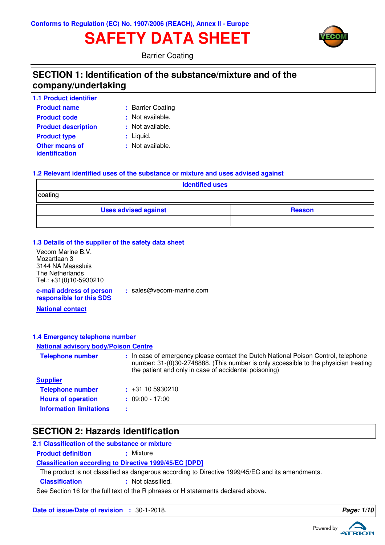# **SAFETY DATA SHEET**



Barrier Coating

## **SECTION 1: Identification of the substance/mixture and of the company/undertaking**

| <b>1.1 Product identifier</b>                  |                  |
|------------------------------------------------|------------------|
| <b>Product name</b>                            | : Barrier Coatir |
| <b>Product code</b>                            | : Not available. |
| <b>Product description</b>                     | : Not available. |
| <b>Product type</b>                            | : Liquid.        |
| <b>Other means of</b><br><b>identification</b> | : Not available. |

Coating

- 
- 
- 

#### **1.2 Relevant identified uses of the substance or mixture and uses advised against**

**:** sales@vecom-marine.com

| <b>Identified uses</b>      |               |  |  |
|-----------------------------|---------------|--|--|
| coating                     |               |  |  |
| <b>Uses advised against</b> | <b>Reason</b> |  |  |
|                             |               |  |  |

#### **1.3 Details of the supplier of the safety data sheet**

Vecom Marine B.V. Mozartlaan 3 3144 NA Maassluis The Netherlands Tel.: +31(0)10-5930210

**e-mail address of person responsible for this SDS**

**National contact**

#### **1.4 Emergency telephone number**

#### **National advisory body/Poison Centre**

| <b>Telephone number</b>        | : In case of emergency please contact the Dutch National Poison Control, telephone<br>number: 31-(0)30-2748888. (This number is only accessible to the physician treating<br>the patient and only in case of accidental poisoning) |
|--------------------------------|------------------------------------------------------------------------------------------------------------------------------------------------------------------------------------------------------------------------------------|
| <b>Supplier</b>                |                                                                                                                                                                                                                                    |
| <b>Telephone number</b>        | $\div$ +31 10 5930210                                                                                                                                                                                                              |
| <b>Hours of operation</b>      | $: 09:00 - 17:00$                                                                                                                                                                                                                  |
| <b>Information limitations</b> |                                                                                                                                                                                                                                    |

## **SECTION 2: Hazards identification**

#### **2.1 Classification of the substance or mixture**

**Product definition : Mixture** 

#### **Classification according to Directive 1999/45/EC [DPD]**

The product is not classified as dangerous according to Directive 1999/45/EC and its amendments.

**Classification :** Not classified.

See Section 16 for the full text of the R phrases or H statements declared above.

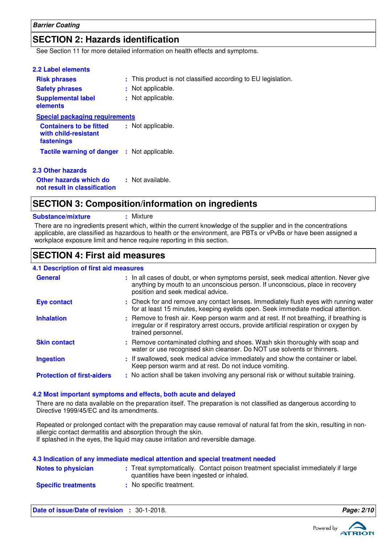## **SECTION 2: Hazards identification**

See Section 11 for more detailed information on health effects and symptoms.

| : This product is not classified according to EU legislation. |
|---------------------------------------------------------------|
| : Not applicable.                                             |
| : Not applicable.                                             |
| <b>Special packaging requirements</b>                         |
| : Not applicable.                                             |
| <b>Tactile warning of danger : Not applicable.</b>            |
|                                                               |
| : Not available.                                              |
|                                                               |

## **SECTION 3: Composition/information on ingredients**

**Substance/mixture :** Mixture

There are no ingredients present which, within the current knowledge of the supplier and in the concentrations applicable, are classified as hazardous to health or the environment, are PBTs or vPvBs or have been assigned a workplace exposure limit and hence require reporting in this section.

## **SECTION 4: First aid measures**

#### **4.1 Description of first aid measures**

| <b>General</b>                    | : In all cases of doubt, or when symptoms persist, seek medical attention. Never give<br>anything by mouth to an unconscious person. If unconscious, place in recovery<br>position and seek medical advice. |
|-----------------------------------|-------------------------------------------------------------------------------------------------------------------------------------------------------------------------------------------------------------|
| <b>Eye contact</b>                | : Check for and remove any contact lenses. Immediately flush eyes with running water<br>for at least 15 minutes, keeping eyelids open. Seek immediate medical attention.                                    |
| <b>Inhalation</b>                 | : Remove to fresh air. Keep person warm and at rest. If not breathing, if breathing is<br>irregular or if respiratory arrest occurs, provide artificial respiration or oxygen by<br>trained personnel.      |
| <b>Skin contact</b>               | : Remove contaminated clothing and shoes. Wash skin thoroughly with soap and<br>water or use recognised skin cleanser. Do NOT use solvents or thinners.                                                     |
| <b>Ingestion</b>                  | : If swallowed, seek medical advice immediately and show the container or label.<br>Keep person warm and at rest. Do not induce vomiting.                                                                   |
| <b>Protection of first-aiders</b> | : No action shall be taken involving any personal risk or without suitable training.                                                                                                                        |

#### **4.2 Most important symptoms and effects, both acute and delayed**

**4.3 Indication of any immediate medical attention and special treatment needed**

There are no data available on the preparation itself. The preparation is not classified as dangerous according to Directive 1999/45/EC and its amendments.

Repeated or prolonged contact with the preparation may cause removal of natural fat from the skin, resulting in nonallergic contact dermatitis and absorption through the skin. If splashed in the eyes, the liquid may cause irritation and reversible damage.

| 4.5 mulcation of any immediate medical attention and special treatment needed. |  |                                                                                                                                |  |
|--------------------------------------------------------------------------------|--|--------------------------------------------------------------------------------------------------------------------------------|--|
| <b>Notes to physician</b>                                                      |  | : Treat symptomatically. Contact poison treatment specialist immediately if large<br>quantities have been ingested or inhaled. |  |
| <b>Specific treatments</b>                                                     |  | : No specific treatment.                                                                                                       |  |

**Date of issue/Date of revision :** 30-1-2018. **Page: 2/10**

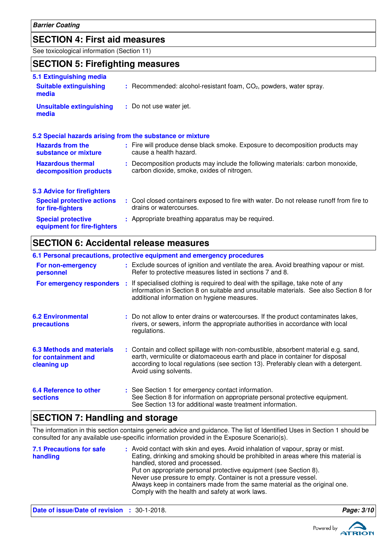**Barrier Coating**

## **SECTION 4: First aid measures**

See toxicological information (Section 11)

## **SECTION 5: Firefighting measures**

| 5.1 Extinguishing media                                   |                                                                                                                              |
|-----------------------------------------------------------|------------------------------------------------------------------------------------------------------------------------------|
| <b>Suitable extinguishing</b><br>media                    | $:$ Recommended: alcohol-resistant foam, $CO2$ , powders, water spray.                                                       |
| <b>Unsuitable extinguishing</b><br>media                  | : Do not use water jet.                                                                                                      |
| 5.2 Special hazards arising from the substance or mixture |                                                                                                                              |
| <b>Hazards from the</b><br>substance or mixture           | : Fire will produce dense black smoke. Exposure to decomposition products may<br>cause a health hazard.                      |
| <b>Hazardous thermal</b><br>decomposition products        | : Decomposition products may include the following materials: carbon monoxide,<br>carbon dioxide, smoke, oxides of nitrogen. |
| <b>5.3 Advice for firefighters</b>                        |                                                                                                                              |
| <b>Special protective actions</b><br>for fire-fighters    | : Cool closed containers exposed to fire with water. Do not release runoff from fire to<br>drains or watercourses.           |
| <b>Special protective</b><br>equipment for fire-fighters  | : Appropriate breathing apparatus may be required.                                                                           |

## **SECTION 6: Accidental release measures**

| 6.1 Personal precautions, protective equipment and emergency procedures |  |                                                                                                                                                                                                                                                                                    |  |
|-------------------------------------------------------------------------|--|------------------------------------------------------------------------------------------------------------------------------------------------------------------------------------------------------------------------------------------------------------------------------------|--|
| For non-emergency<br>personnel                                          |  | : Exclude sources of ignition and ventilate the area. Avoid breathing vapour or mist.<br>Refer to protective measures listed in sections 7 and 8.                                                                                                                                  |  |
| For emergency responders :                                              |  | If specialised clothing is required to deal with the spillage, take note of any<br>information in Section 8 on suitable and unsuitable materials. See also Section 8 for<br>additional information on hygiene measures.                                                            |  |
| <b>6.2 Environmental</b><br>precautions                                 |  | : Do not allow to enter drains or watercourses. If the product contaminates lakes,<br>rivers, or sewers, inform the appropriate authorities in accordance with local<br>regulations.                                                                                               |  |
| 6.3 Methods and materials<br>for containment and<br>cleaning up         |  | : Contain and collect spillage with non-combustible, absorbent material e.g. sand,<br>earth, vermiculite or diatomaceous earth and place in container for disposal<br>according to local regulations (see section 13). Preferably clean with a detergent.<br>Avoid using solvents. |  |
| 6.4 Reference to other<br><b>sections</b>                               |  | : See Section 1 for emergency contact information.<br>See Section 8 for information on appropriate personal protective equipment.<br>See Section 13 for additional waste treatment information.                                                                                    |  |

## **SECTION 7: Handling and storage**

The information in this section contains generic advice and guidance. The list of Identified Uses in Section 1 should be consulted for any available use-specific information provided in the Exposure Scenario(s).

| <b>7.1 Precautions for safe</b><br>handling | : Avoid contact with skin and eyes. Avoid inhalation of vapour, spray or mist.<br>Eating, drinking and smoking should be prohibited in areas where this material is<br>handled, stored and processed.<br>Put on appropriate personal protective equipment (see Section 8).<br>Never use pressure to empty. Container is not a pressure vessel.<br>Always keep in containers made from the same material as the original one.<br>Comply with the health and safety at work laws. |
|---------------------------------------------|---------------------------------------------------------------------------------------------------------------------------------------------------------------------------------------------------------------------------------------------------------------------------------------------------------------------------------------------------------------------------------------------------------------------------------------------------------------------------------|
|---------------------------------------------|---------------------------------------------------------------------------------------------------------------------------------------------------------------------------------------------------------------------------------------------------------------------------------------------------------------------------------------------------------------------------------------------------------------------------------------------------------------------------------|

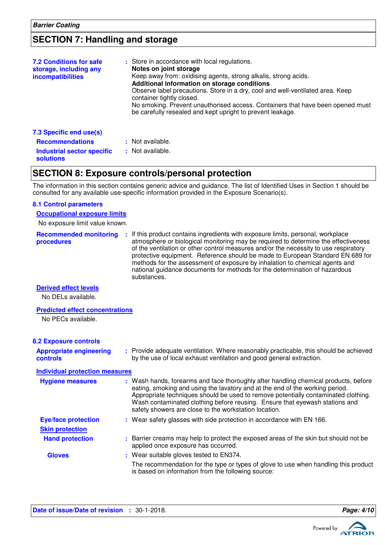## **SECTION 7: Handling and storage**

| <b>7.2 Conditions for safe</b><br>storage, including any<br><b>incompatibilities</b> | : Store in accordance with local regulations.<br>Notes on joint storage<br>Keep away from: oxidising agents, strong alkalis, strong acids.<br>Additional information on storage conditions<br>Observe label precautions. Store in a dry, cool and well-ventilated area. Keep<br>container tightly closed.<br>No smoking. Prevent unauthorised access. Containers that have been opened must<br>be carefully resealed and kept upright to prevent leakage. |
|--------------------------------------------------------------------------------------|-----------------------------------------------------------------------------------------------------------------------------------------------------------------------------------------------------------------------------------------------------------------------------------------------------------------------------------------------------------------------------------------------------------------------------------------------------------|
| 7.3 Specific end use(s)                                                              |                                                                                                                                                                                                                                                                                                                                                                                                                                                           |
| <b>Recommendations</b>                                                               | : Not available.                                                                                                                                                                                                                                                                                                                                                                                                                                          |
| <b>Industrial sector specific</b><br>solutions                                       | : Not available.                                                                                                                                                                                                                                                                                                                                                                                                                                          |

## **SECTION 8: Exposure controls/personal protection**

The information in this section contains generic advice and guidance. The list of Identified Uses in Section 1 should be consulted for any available use-specific information provided in the Exposure Scenario(s).

## **8.1 Control parameters**

No exposure limit value known. **Occupational exposure limits**

| <b>Recommended monitoring</b> | : If this product contains ingredients with exposure limits, personal, workplace     |
|-------------------------------|--------------------------------------------------------------------------------------|
| procedures                    | atmosphere or biological monitoring may be required to determine the effectiveness   |
|                               | of the ventilation or other control measures and/or the necessity to use respiratory |
|                               | protective equipment. Reference should be made to European Standard EN 689 for       |
|                               | methods for the assessment of exposure by inhalation to chemical agents and          |
|                               | national guidance documents for methods for the determination of hazardous           |
|                               | substances.                                                                          |

#### **Derived effect levels**

No DELs available.

#### **Predicted effect concentrations**

No PECs available.

**controls**

| <b>8.2 Exposure controls</b> |  |
|------------------------------|--|
|                              |  |

#### Provide adequate ventilation. Where reasonably practicable, this should be achieved **:** by the use of local exhaust ventilation and good general extraction. **Appropriate engineering**

| <b>Individual protection measures</b> |                                                                                                                                                                                                                                                                                                                                                                                                   |
|---------------------------------------|---------------------------------------------------------------------------------------------------------------------------------------------------------------------------------------------------------------------------------------------------------------------------------------------------------------------------------------------------------------------------------------------------|
| <b>Hygiene measures</b>               | : Wash hands, forearms and face thoroughly after handling chemical products, before<br>eating, smoking and using the lavatory and at the end of the working period.<br>Appropriate techniques should be used to remove potentially contaminated clothing.<br>Wash contaminated clothing before reusing. Ensure that eyewash stations and<br>safety showers are close to the workstation location. |
| <b>Eye/face protection</b>            | : Wear safety glasses with side protection in accordance with EN 166.                                                                                                                                                                                                                                                                                                                             |
| <b>Skin protection</b>                |                                                                                                                                                                                                                                                                                                                                                                                                   |
| <b>Hand protection</b>                | : Barrier creams may help to protect the exposed areas of the skin but should not be<br>applied once exposure has occurred.                                                                                                                                                                                                                                                                       |
| <b>Gloves</b>                         | : Wear suitable gloves tested to EN374.                                                                                                                                                                                                                                                                                                                                                           |
|                                       | The recommendation for the type or types of glove to use when handling this product<br>is based on information from the following source:                                                                                                                                                                                                                                                         |

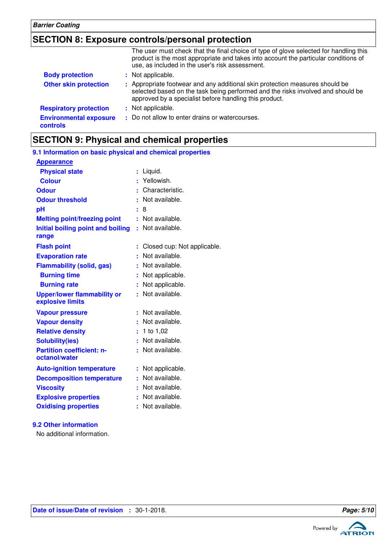## **SECTION 8: Exposure controls/personal protection**

|                                           | The user must check that the final choice of type of glove selected for handling this<br>product is the most appropriate and takes into account the particular conditions of<br>use, as included in the user's risk assessment. |
|-------------------------------------------|---------------------------------------------------------------------------------------------------------------------------------------------------------------------------------------------------------------------------------|
| <b>Body protection</b>                    | : Not applicable.                                                                                                                                                                                                               |
| <b>Other skin protection</b>              | : Appropriate footwear and any additional skin protection measures should be<br>selected based on the task being performed and the risks involved and should be<br>approved by a specialist before handling this product.       |
| <b>Respiratory protection</b>             | : Not applicable.                                                                                                                                                                                                               |
| <b>Environmental exposure</b><br>controls | : Do not allow to enter drains or watercourses.                                                                                                                                                                                 |

## **SECTION 9: Physical and chemical properties**

| 9.1 Information on basic physical and chemical properties |    |                             |
|-----------------------------------------------------------|----|-----------------------------|
| <b>Appearance</b>                                         |    |                             |
| <b>Physical state</b>                                     |    | : Liquid.                   |
| <b>Colour</b>                                             |    | : Yellowish.                |
| <b>Odour</b>                                              |    | Characteristic.             |
| <b>Odour threshold</b>                                    |    | Not available.              |
| рH                                                        | ÷  | 8                           |
| <b>Melting point/freezing point</b>                       |    | Not available.              |
| Initial boiling point and boiling<br>range                | ŧ. | Not available.              |
| <b>Flash point</b>                                        |    | Closed cup: Not applicable. |
| <b>Evaporation rate</b>                                   |    | Not available.              |
| <b>Flammability (solid, gas)</b>                          |    | Not available.              |
| <b>Burning time</b>                                       |    | : Not applicable.           |
| <b>Burning rate</b>                                       | ÷. | Not applicable.             |
| <b>Upper/lower flammability or</b><br>explosive limits    |    | Not available.              |
| <b>Vapour pressure</b>                                    | ÷  | Not available.              |
| <b>Vapour density</b>                                     |    | Not available.              |
| <b>Relative density</b>                                   | ÷. | 1 to 1,02                   |
| <b>Solubility(ies)</b>                                    |    | Not available.              |
| <b>Partition coefficient: n-</b><br>octanol/water         |    | : Not available.            |
| <b>Auto-ignition temperature</b>                          | ÷  | Not applicable.             |
| <b>Decomposition temperature</b>                          |    | Not available.              |
| <b>Viscosity</b>                                          |    | Not available.              |
| <b>Explosive properties</b>                               |    | Not available.              |
| <b>Oxidising properties</b>                               |    | Not available.              |
|                                                           |    |                             |

### **Date of issue/Date of revision :** 30-1-2018. **Page: 5/10**

**9.2 Other information**

No additional information.

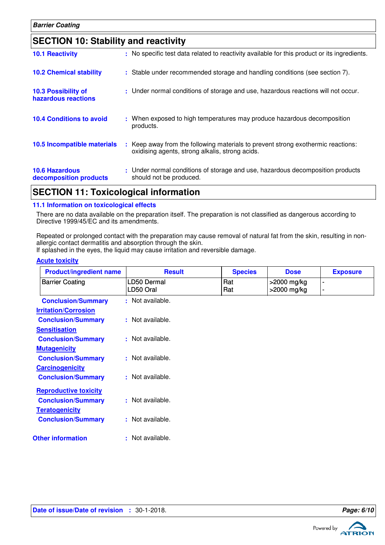| <b>SECTION 10: Stability and reactivity</b>       |                                                                                                                                     |
|---------------------------------------------------|-------------------------------------------------------------------------------------------------------------------------------------|
| <b>10.1 Reactivity</b>                            | : No specific test data related to reactivity available for this product or its ingredients.                                        |
| <b>10.2 Chemical stability</b>                    | : Stable under recommended storage and handling conditions (see section 7).                                                         |
| <b>10.3 Possibility of</b><br>hazardous reactions | : Under normal conditions of storage and use, hazardous reactions will not occur.                                                   |
| <b>10.4 Conditions to avoid</b>                   | : When exposed to high temperatures may produce hazardous decomposition<br>products.                                                |
| 10.5 Incompatible materials                       | : Keep away from the following materials to prevent strong exothermic reactions:<br>oxidising agents, strong alkalis, strong acids. |
| <b>10.6 Hazardous</b><br>decomposition products   | : Under normal conditions of storage and use, hazardous decomposition products<br>should not be produced.                           |

## **SECTION 11: Toxicological information**

#### **11.1 Information on toxicological effects**

There are no data available on the preparation itself. The preparation is not classified as dangerous according to Directive 1999/45/EC and its amendments.

Repeated or prolonged contact with the preparation may cause removal of natural fat from the skin, resulting in nonallergic contact dermatitis and absorption through the skin.

If splashed in the eyes, the liquid may cause irritation and reversible damage.

| <b>Product/ingredient name</b> | <b>Result</b>            | <b>Species</b> | <b>Dose</b>                | <b>Exposure</b> |
|--------------------------------|--------------------------|----------------|----------------------------|-----------------|
| <b>Barrier Coating</b>         | LD50 Dermal<br>LD50 Oral | Rat<br>Rat     | >2000 mg/kg<br>>2000 mg/kg | $\blacksquare$  |
| <b>Conclusion/Summary</b>      | : Not available.         |                |                            |                 |
| <b>Irritation/Corrosion</b>    |                          |                |                            |                 |
| <b>Conclusion/Summary</b>      | : Not available.         |                |                            |                 |
| <b>Sensitisation</b>           |                          |                |                            |                 |
| <b>Conclusion/Summary</b>      | : Not available.         |                |                            |                 |
| <b>Mutagenicity</b>            |                          |                |                            |                 |
| <b>Conclusion/Summary</b>      | : Not available.         |                |                            |                 |
| <b>Carcinogenicity</b>         |                          |                |                            |                 |
| <b>Conclusion/Summary</b>      | : Not available.         |                |                            |                 |
| <b>Reproductive toxicity</b>   |                          |                |                            |                 |
| <b>Conclusion/Summary</b>      | : Not available.         |                |                            |                 |
| <b>Teratogenicity</b>          |                          |                |                            |                 |
| <b>Conclusion/Summary</b>      | : Not available.         |                |                            |                 |
| <b>Other information</b>       | : Not available.         |                |                            |                 |
|                                |                          |                |                            |                 |

#### **Acute toxicity**



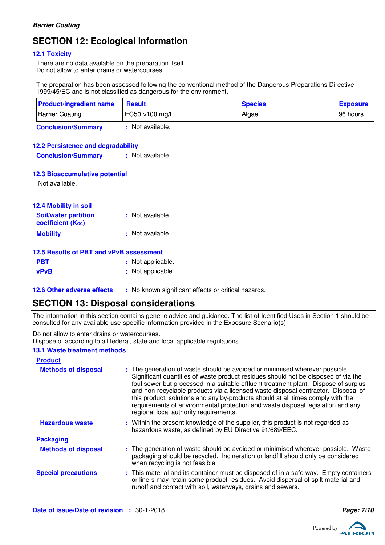## **SECTION 12: Ecological information**

#### **12.1 Toxicity**

There are no data available on the preparation itself. Do not allow to enter drains or watercourses.

The preparation has been assessed following the conventional method of the Dangerous Preparations Directive 1999/45/EC and is not classified as dangerous for the environment.

| <b>Product/ingredient name</b> | <b>Result</b>  | <b>Species</b> | <b>Exposure</b> |
|--------------------------------|----------------|----------------|-----------------|
| <b>Barrier Coating</b>         | EC50 >100 mg/l | Algae          | 196 hours       |
| <b>Conclusion/Summary</b>      | Not available. |                |                 |

#### **12.2 Persistence and degradability**

**Conclusion/Summary :** Not available.

#### **12.3 Bioaccumulative potential**

Not available.

| 12.4 Mobility in soil                                   |                  |
|---------------------------------------------------------|------------------|
| <b>Soil/water partition</b><br><b>coefficient (Koc)</b> | : Not available. |
| <b>Mobility</b>                                         | : Not available. |
| 12.5 Results of PRT and vPvR assessment                 |                  |

#### **12.5 Results of PBT and vPvB assessment**

| <b>PBT</b>  | : Not applicable. |
|-------------|-------------------|
| <b>vPvB</b> | : Not applicable. |

## **12.6 Other adverse effects** : No known significant effects or critical hazards.

## **SECTION 13: Disposal considerations**

The information in this section contains generic advice and guidance. The list of Identified Uses in Section 1 should be consulted for any available use-specific information provided in the Exposure Scenario(s).

Do not allow to enter drains or watercourses.

Dispose of according to all federal, state and local applicable regulations.

#### **13.1 Waste treatment methods**

| <b>Product</b>             |                                                                                                                                                                                                                                                                                                                                                                                                                                                                                                                                                               |
|----------------------------|---------------------------------------------------------------------------------------------------------------------------------------------------------------------------------------------------------------------------------------------------------------------------------------------------------------------------------------------------------------------------------------------------------------------------------------------------------------------------------------------------------------------------------------------------------------|
| <b>Methods of disposal</b> | : The generation of waste should be avoided or minimised wherever possible.<br>Significant quantities of waste product residues should not be disposed of via the<br>foul sewer but processed in a suitable effluent treatment plant. Dispose of surplus<br>and non-recyclable products via a licensed waste disposal contractor. Disposal of<br>this product, solutions and any by-products should at all times comply with the<br>requirements of environmental protection and waste disposal legislation and any<br>regional local authority requirements. |
| <b>Hazardous waste</b>     | : Within the present knowledge of the supplier, this product is not regarded as<br>hazardous waste, as defined by EU Directive 91/689/EEC.                                                                                                                                                                                                                                                                                                                                                                                                                    |
| <b>Packaging</b>           |                                                                                                                                                                                                                                                                                                                                                                                                                                                                                                                                                               |
| <b>Methods of disposal</b> | : The generation of waste should be avoided or minimised wherever possible. Waste<br>packaging should be recycled. Incineration or landfill should only be considered<br>when recycling is not feasible.                                                                                                                                                                                                                                                                                                                                                      |
| <b>Special precautions</b> | : This material and its container must be disposed of in a safe way. Empty containers<br>or liners may retain some product residues. Avoid dispersal of spilt material and<br>runoff and contact with soil, waterways, drains and sewers.                                                                                                                                                                                                                                                                                                                     |



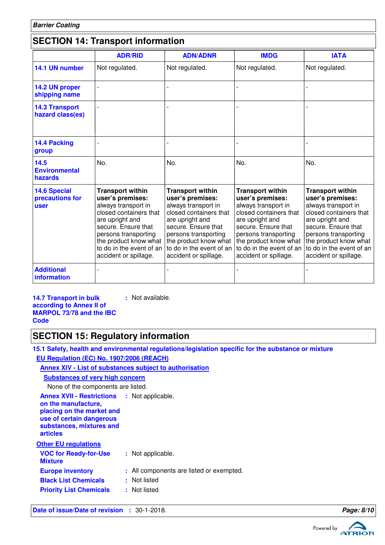## **SECTION 14: Transport information**

|                                                | <b>ADR/RID</b>                                                                                                                                                                                                                               | <b>ADN/ADNR</b>                                                                                                                                                                                                                              | <b>IMDG</b>                                                                                                                                                                                                                                  | <b>IATA</b>                                                                                                                                                                                                                                  |
|------------------------------------------------|----------------------------------------------------------------------------------------------------------------------------------------------------------------------------------------------------------------------------------------------|----------------------------------------------------------------------------------------------------------------------------------------------------------------------------------------------------------------------------------------------|----------------------------------------------------------------------------------------------------------------------------------------------------------------------------------------------------------------------------------------------|----------------------------------------------------------------------------------------------------------------------------------------------------------------------------------------------------------------------------------------------|
| 14.1 UN number                                 | Not regulated.                                                                                                                                                                                                                               | Not regulated.                                                                                                                                                                                                                               | Not regulated.                                                                                                                                                                                                                               | Not regulated.                                                                                                                                                                                                                               |
| 14.2 UN proper<br>shipping name                |                                                                                                                                                                                                                                              |                                                                                                                                                                                                                                              |                                                                                                                                                                                                                                              |                                                                                                                                                                                                                                              |
| <b>14.3 Transport</b><br>hazard class(es)      |                                                                                                                                                                                                                                              |                                                                                                                                                                                                                                              |                                                                                                                                                                                                                                              |                                                                                                                                                                                                                                              |
| 14.4 Packing<br>group                          |                                                                                                                                                                                                                                              |                                                                                                                                                                                                                                              |                                                                                                                                                                                                                                              |                                                                                                                                                                                                                                              |
| 14.5<br><b>Environmental</b><br>hazards        | No.                                                                                                                                                                                                                                          | No.                                                                                                                                                                                                                                          | No.                                                                                                                                                                                                                                          | No.                                                                                                                                                                                                                                          |
| <b>14.6 Special</b><br>precautions for<br>user | <b>Transport within</b><br>user's premises:<br>always transport in<br>closed containers that<br>are upright and<br>secure. Ensure that<br>persons transporting<br>the product know what<br>to do in the event of an<br>accident or spillage. | <b>Transport within</b><br>user's premises:<br>always transport in<br>closed containers that<br>are upright and<br>secure. Ensure that<br>persons transporting<br>the product know what<br>to do in the event of an<br>accident or spillage. | <b>Transport within</b><br>user's premises:<br>always transport in<br>closed containers that<br>are upright and<br>secure. Ensure that<br>persons transporting<br>the product know what<br>to do in the event of an<br>accident or spillage. | <b>Transport within</b><br>user's premises:<br>always transport in<br>closed containers that<br>are upright and<br>secure. Ensure that<br>persons transporting<br>the product know what<br>to do in the event of an<br>accident or spillage. |
| <b>Additional</b><br>information               |                                                                                                                                                                                                                                              |                                                                                                                                                                                                                                              |                                                                                                                                                                                                                                              |                                                                                                                                                                                                                                              |

**14.7 Transport in bulk according to Annex II of MARPOL 73/78 and the IBC Code :** Not available.

## **SECTION 15: Regulatory information**

**15.1 Safety, health and environmental regulations/legislation specific for the substance or mixture EU Regulation (EC) No. 1907/2006 (REACH)**

#### **Annex XIV - List of substances subject to authorisation Substances of very high**

| Substances of very high concern                                                                                                                                                   |                                          |
|-----------------------------------------------------------------------------------------------------------------------------------------------------------------------------------|------------------------------------------|
| None of the components are listed.                                                                                                                                                |                                          |
| <b>Annex XVII - Restrictions : Not applicable.</b><br>on the manufacture,<br>placing on the market and<br>use of certain dangerous<br>substances, mixtures and<br><b>articles</b> |                                          |
| <b>Other EU regulations</b>                                                                                                                                                       |                                          |
| <b>VOC for Ready-for-Use</b><br><b>Mixture</b>                                                                                                                                    | : Not applicable.                        |
| <b>Europe inventory</b>                                                                                                                                                           | : All components are listed or exempted. |
| <b>Black List Chemicals</b>                                                                                                                                                       | : Not listed                             |
| <b>Priority List Chemicals</b>                                                                                                                                                    | : Not listed                             |

**Date of issue/Date of revision :** 30-1-2018. **Page: 8/10 Page: 8/10** 

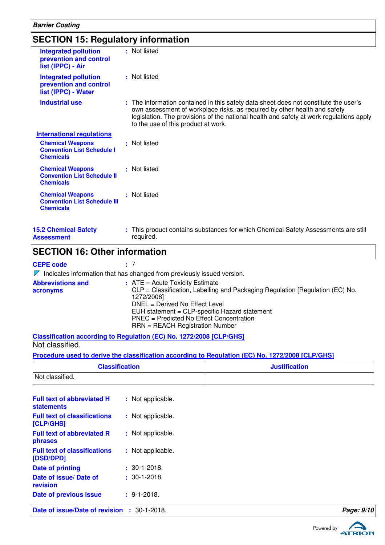| <b>SECTION 15: Regulatory information</b>                                          |                                                                                                                                                                                                                                                                                                     |  |  |
|------------------------------------------------------------------------------------|-----------------------------------------------------------------------------------------------------------------------------------------------------------------------------------------------------------------------------------------------------------------------------------------------------|--|--|
| <b>Integrated pollution</b><br>prevention and control<br>list (IPPC) - Air         | : Not listed                                                                                                                                                                                                                                                                                        |  |  |
| <b>Integrated pollution</b><br>prevention and control<br>list (IPPC) - Water       | : Not listed                                                                                                                                                                                                                                                                                        |  |  |
| <b>Industrial use</b>                                                              | : The information contained in this safety data sheet does not constitute the user's<br>own assessment of workplace risks, as required by other health and safety<br>legislation. The provisions of the national health and safety at work regulations apply<br>to the use of this product at work. |  |  |
| <b>International regulations</b>                                                   |                                                                                                                                                                                                                                                                                                     |  |  |
| <b>Chemical Weapons</b><br><b>Convention List Schedule I</b><br><b>Chemicals</b>   | : Not listed                                                                                                                                                                                                                                                                                        |  |  |
| <b>Chemical Weapons</b><br><b>Convention List Schedule II</b><br><b>Chemicals</b>  | : Not listed                                                                                                                                                                                                                                                                                        |  |  |
| <b>Chemical Weapons</b><br><b>Convention List Schedule III</b><br><b>Chemicals</b> | : Not listed                                                                                                                                                                                                                                                                                        |  |  |
| <b>15.2 Chemical Safety</b>                                                        | : This product contains substances for which Chemical Safety Assessments are still                                                                                                                                                                                                                  |  |  |

## **SECTION 16: Other information**

#### **CEPE code :** 7

**Assessment**

 $\nabla$  Indicates information that has changed from previously issued version.

required.

| <b>Abbreviations and</b><br>acronyms | $:$ ATE = Acute Toxicity Estimate<br>CLP = Classification, Labelling and Packaging Regulation [Regulation (EC) No.<br>1272/2008]<br>DNEL = Derived No Effect Level<br>EUH statement = CLP-specific Hazard statement<br>PNEC = Predicted No Effect Concentration<br>$RRN = REACH$ Registration Number |
|--------------------------------------|------------------------------------------------------------------------------------------------------------------------------------------------------------------------------------------------------------------------------------------------------------------------------------------------------|
|                                      |                                                                                                                                                                                                                                                                                                      |

**Classification according to Regulation (EC) No. 1272/2008 [CLP/GHS]** Not classified.

#### **Procedure used to derive the classification according to Regulation (EC) No. 1272/2008 [CLP/GHS]**

| <b>Classification</b> | <b>Justification</b> |
|-----------------------|----------------------|
| Not classified.       |                      |

| Date of issue/Date of revision : 30-1-2018.            |                    | Page: 9/10 |
|--------------------------------------------------------|--------------------|------------|
| Date of previous issue                                 | $\pm$ 9-1-2018.    |            |
| Date of issue/ Date of<br>revision                     | $: 30 - 1 - 2018.$ |            |
| <b>Date of printing</b>                                | $: 30 - 1 - 2018.$ |            |
| <b>Full text of classifications</b><br>[DSD/DPD]       | : Not applicable.  |            |
| <b>Full text of abbreviated R</b><br>phrases           | : Not applicable.  |            |
| <b>Full text of classifications</b><br>[CLP/GHS]       | : Not applicable.  |            |
| <b>Full text of abbreviated H</b><br><b>statements</b> | : Not applicable.  |            |